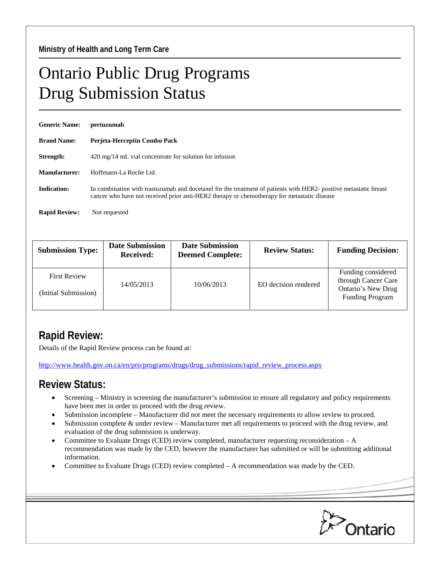## Ontario Public Drug Programs Drug Submission Status

| <b>Generic Name:</b> | pertuzumab                                                                                                                                                                                                       |  |  |  |
|----------------------|------------------------------------------------------------------------------------------------------------------------------------------------------------------------------------------------------------------|--|--|--|
| <b>Brand Name:</b>   | Perjeta-Herceptin Combo Pack                                                                                                                                                                                     |  |  |  |
| Strength:            | 420 mg/14 mL vial concentrate for solution for infusion                                                                                                                                                          |  |  |  |
| Manufacturer:        | Hoffmann-La Roche Ltd.                                                                                                                                                                                           |  |  |  |
| <b>Indication:</b>   | In combination with trastuzumab and docetaxel for the treatment of patients with HER2- positive metastatic breast<br>cancer who have not received prior anti-HER2 therapy or chemotherapy for metastatic disease |  |  |  |
| <b>Rapid Review:</b> | Not requested                                                                                                                                                                                                    |  |  |  |

| <b>Submission Type:</b>                     | <b>Date Submission</b><br><b>Received:</b> | <b>Date Submission</b><br><b>Deemed Complete:</b> | <b>Review Status:</b> | <b>Funding Decision:</b>                                                                  |
|---------------------------------------------|--------------------------------------------|---------------------------------------------------|-----------------------|-------------------------------------------------------------------------------------------|
| <b>First Review</b><br>(Initial Submission) | 14/05/2013                                 | 10/06/2013                                        | EO decision rendered  | Funding considered<br>through Cancer Care<br>Ontario's New Drug<br><b>Funding Program</b> |

## **Rapid Review:**

Details of the Rapid Review process can be found at:

[http://www.health.gov.on.ca/en/pro/programs/drugs/drug\\_submissions/rapid\\_review\\_process.aspx](http://www.health.gov.on.ca/en/pro/programs/drugs/drug_submissions/rapid_review_process.aspx)

## **Review Status:**

- Screening Ministry is screening the manufacturer's submission to ensure all regulatory and policy requirements have been met in order to proceed with the drug review.
- Submission incomplete Manufacturer did not meet the necessary requirements to allow review to proceed.
- Submission complete & under review Manufacturer met all requirements to proceed with the drug review, and evaluation of the drug submission is underway.
- Committee to Evaluate Drugs (CED) review completed, manufacturer requesting reconsideration A recommendation was made by the CED, however the manufacturer has submitted or will be submitting additional information.
- Committee to Evaluate Drugs (CED) review completed A recommendation was made by the CED.